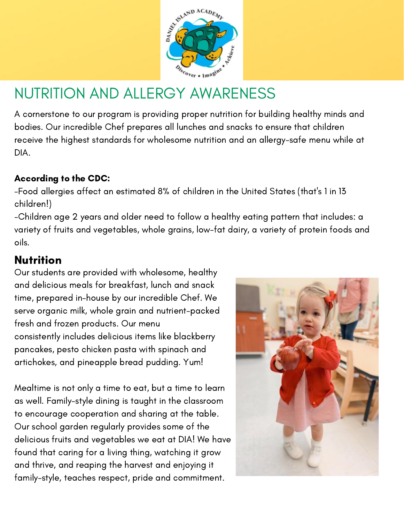

# NUTRITION AND ALLERGY AWARENESS

A cornerstone to our program is providing proper nutrition for building healthy minds and bodies. Our incredible Chef prepares all lunches and snacks to ensure that children receive the highest standards for wholesome nutrition and an allergy-safe menu while at DIA.

#### According to the CDC:

-Food allergies affect an estimated 8% of children in the United States (that's 1 in 13 children!)

-Children age 2 years and older need to follow a healthy eating pattern that includes: a variety of fruits and vegetables, whole grains, low-fat dairy, a variety of protein foods and oils.

## Nutrition

Our students are provided with wholesome, healthy and delicious meals for breakfast, lunch and snack time, prepared in-house by our incredible Chef. We serve organic milk, whole grain and nutrient-packed fresh and frozen products. Our menu consistently includes delicious items like blackberry pancakes, pesto chicken pasta with spinach and artichokes, and pineapple bread pudding. Yum!

Mealtime is not only a time to eat, but a time to learn as well. Family-style dining is taught in the classroom to encourage cooperation and sharing at the table. Our school garden regularly provides some of the delicious fruits and vegetables we eat at DIA! We have found that caring for a living thing, watching it grow and thrive, and reaping the harvest and enjoying it family-style, teaches respect, pride and commitment.

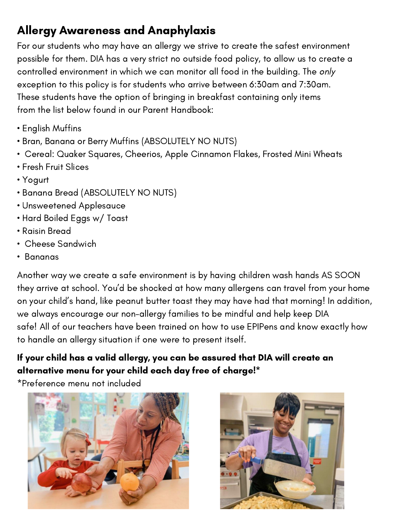# Allergy Awareness and Anaphylaxis

For our students who may have an allergy we strive to create the safest environment possible for them. DIA has a very strict no outside food policy, to allow us to create a controlled environment in which we can monitor all food in the building. The only exception to this policy is for students who arrive between 6:30am and 7:30am. These students have the option of bringing in breakfast containing only items from the list below found in our Parent Handbook:

- English Muffins
- Bran, Banana or Berry Muffins (ABSOLUTELY NO NUTS)
- Cereal: Quaker Squares, Cheerios, Apple Cinnamon Flakes, Frosted Mini Wheats
- Fresh Fruit Slices
- Yogurt
- Banana Bread (ABSOLUTELY NO NUTS)
- Unsweetened Applesauce
- Hard Boiled Eggs w/ Toast
- Raisin Bread
- Cheese Sandwich
- Bananas

Another way we create a safe environment is by having children wash hands AS SOON they arrive at school. You'd be shocked at how many allergens can travel from your home on your child's hand, like peanut butter toast they may have had that morning! In addition, we always encourage our non-allergy families to be mindful and help keep DIA safe! All of our teachers have been trained on how to use EPIPens and know exactly how to handle an allergy situation if one were to present itself.

#### If your child has a valid allergy, you can be assured that DIA will create an alternative menu for your child each day free of charge!\*

\*Preference menu not included